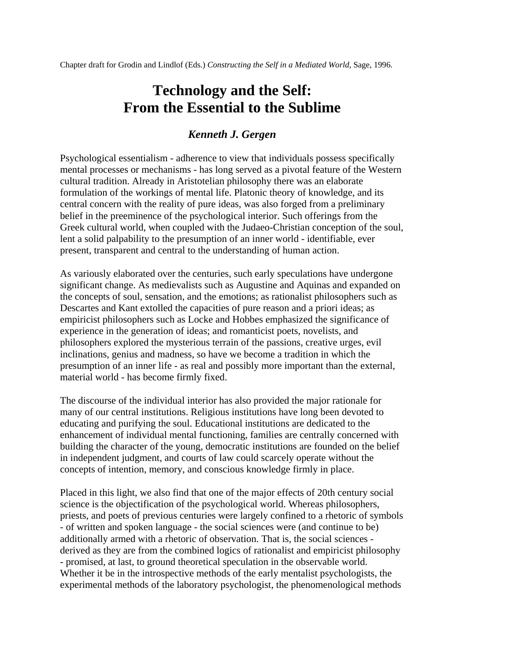Chapter draft for Grodin and Lindlof (Eds.) *Constructing the Self in a Mediated World*, Sage, 1996.

# **Technology and the Self: From the Essential to the Sublime**

# *Kenneth J. Gergen*

Psychological essentialism - adherence to view that individuals possess specifically mental processes or mechanisms - has long served as a pivotal feature of the Western cultural tradition. Already in Aristotelian philosophy there was an elaborate formulation of the workings of mental life. Platonic theory of knowledge, and its central concern with the reality of pure ideas, was also forged from a preliminary belief in the preeminence of the psychological interior. Such offerings from the Greek cultural world, when coupled with the Judaeo-Christian conception of the soul, lent a solid palpability to the presumption of an inner world - identifiable, ever present, transparent and central to the understanding of human action.

As variously elaborated over the centuries, such early speculations have undergone significant change. As medievalists such as Augustine and Aquinas and expanded on the concepts of soul, sensation, and the emotions; as rationalist philosophers such as Descartes and Kant extolled the capacities of pure reason and a priori ideas; as empiricist philosophers such as Locke and Hobbes emphasized the significance of experience in the generation of ideas; and romanticist poets, novelists, and philosophers explored the mysterious terrain of the passions, creative urges, evil inclinations, genius and madness, so have we become a tradition in which the presumption of an inner life - as real and possibly more important than the external, material world - has become firmly fixed.

The discourse of the individual interior has also provided the major rationale for many of our central institutions. Religious institutions have long been devoted to educating and purifying the soul. Educational institutions are dedicated to the enhancement of individual mental functioning, families are centrally concerned with building the character of the young, democratic institutions are founded on the belief in independent judgment, and courts of law could scarcely operate without the concepts of intention, memory, and conscious knowledge firmly in place.

Placed in this light, we also find that one of the major effects of 20th century social science is the objectification of the psychological world. Whereas philosophers, priests, and poets of previous centuries were largely confined to a rhetoric of symbols - of written and spoken language - the social sciences were (and continue to be) additionally armed with a rhetoric of observation. That is, the social sciences derived as they are from the combined logics of rationalist and empiricist philosophy - promised, at last, to ground theoretical speculation in the observable world. Whether it be in the introspective methods of the early mentalist psychologists, the experimental methods of the laboratory psychologist, the phenomenological methods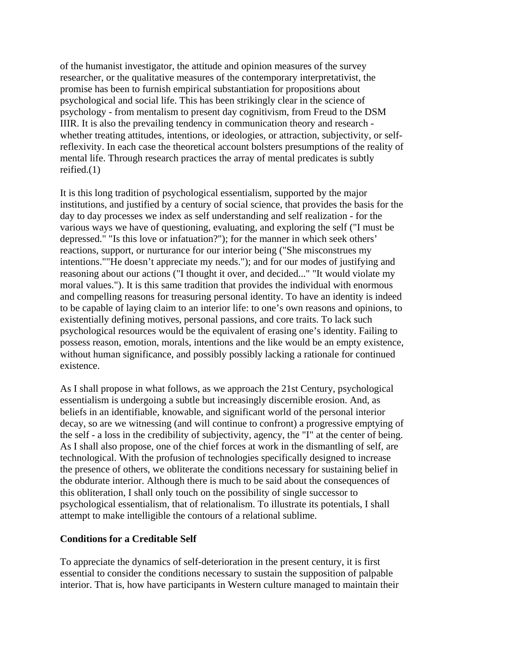of the humanist investigator, the attitude and opinion measures of the survey researcher, or the qualitative measures of the contemporary interpretativist, the promise has been to furnish empirical substantiation for propositions about psychological and social life. This has been strikingly clear in the science of psychology - from mentalism to present day cognitivism, from Freud to the DSM IIIR. It is also the prevailing tendency in communication theory and research whether treating attitudes, intentions, or ideologies, or attraction, subjectivity, or selfreflexivity. In each case the theoretical account bolsters presumptions of the reality of mental life. Through research practices the array of mental predicates is subtly reified.(1)

It is this long tradition of psychological essentialism, supported by the major institutions, and justified by a century of social science, that provides the basis for the day to day processes we index as self understanding and self realization - for the various ways we have of questioning, evaluating, and exploring the self ("I must be depressed." "Is this love or infatuation?"); for the manner in which seek others' reactions, support, or nurturance for our interior being ("She misconstrues my intentions.""He doesn't appreciate my needs."); and for our modes of justifying and reasoning about our actions ("I thought it over, and decided..." "It would violate my moral values."). It is this same tradition that provides the individual with enormous and compelling reasons for treasuring personal identity. To have an identity is indeed to be capable of laying claim to an interior life: to one's own reasons and opinions, to existentially defining motives, personal passions, and core traits. To lack such psychological resources would be the equivalent of erasing one's identity. Failing to possess reason, emotion, morals, intentions and the like would be an empty existence, without human significance, and possibly possibly lacking a rationale for continued existence.

As I shall propose in what follows, as we approach the 21st Century, psychological essentialism is undergoing a subtle but increasingly discernible erosion. And, as beliefs in an identifiable, knowable, and significant world of the personal interior decay, so are we witnessing (and will continue to confront) a progressive emptying of the self - a loss in the credibility of subjectivity, agency, the "I" at the center of being. As I shall also propose, one of the chief forces at work in the dismantling of self, are technological. With the profusion of technologies specifically designed to increase the presence of others, we obliterate the conditions necessary for sustaining belief in the obdurate interior. Although there is much to be said about the consequences of this obliteration, I shall only touch on the possibility of single successor to psychological essentialism, that of relationalism. To illustrate its potentials, I shall attempt to make intelligible the contours of a relational sublime.

#### **Conditions for a Creditable Self**

To appreciate the dynamics of self-deterioration in the present century, it is first essential to consider the conditions necessary to sustain the supposition of palpable interior. That is, how have participants in Western culture managed to maintain their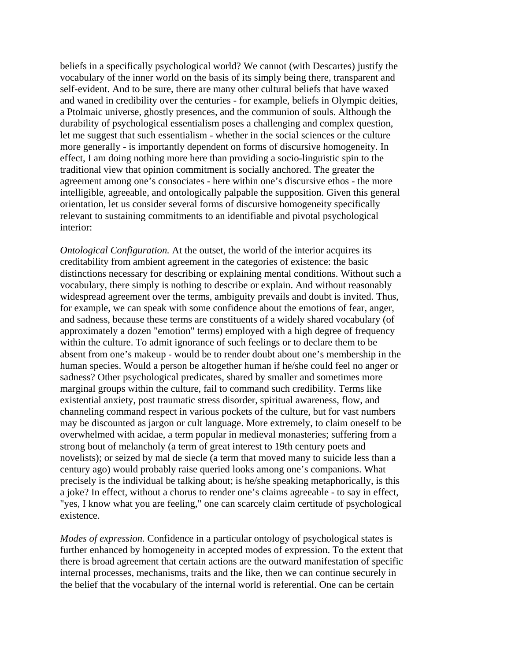beliefs in a specifically psychological world? We cannot (with Descartes) justify the vocabulary of the inner world on the basis of its simply being there, transparent and self-evident. And to be sure, there are many other cultural beliefs that have waxed and waned in credibility over the centuries - for example, beliefs in Olympic deities, a Ptolmaic universe, ghostly presences, and the communion of souls. Although the durability of psychological essentialism poses a challenging and complex question, let me suggest that such essentialism - whether in the social sciences or the culture more generally - is importantly dependent on forms of discursive homogeneity. In effect, I am doing nothing more here than providing a socio-linguistic spin to the traditional view that opinion commitment is socially anchored. The greater the agreement among one's consociates - here within one's discursive ethos - the more intelligible, agreeable, and ontologically palpable the supposition. Given this general orientation, let us consider several forms of discursive homogeneity specifically relevant to sustaining commitments to an identifiable and pivotal psychological interior:

*Ontological Configuration.* At the outset, the world of the interior acquires its creditability from ambient agreement in the categories of existence: the basic distinctions necessary for describing or explaining mental conditions. Without such a vocabulary, there simply is nothing to describe or explain. And without reasonably widespread agreement over the terms, ambiguity prevails and doubt is invited. Thus, for example, we can speak with some confidence about the emotions of fear, anger, and sadness, because these terms are constituents of a widely shared vocabulary (of approximately a dozen "emotion" terms) employed with a high degree of frequency within the culture. To admit ignorance of such feelings or to declare them to be absent from one's makeup - would be to render doubt about one's membership in the human species. Would a person be altogether human if he/she could feel no anger or sadness? Other psychological predicates, shared by smaller and sometimes more marginal groups within the culture, fail to command such credibility. Terms like existential anxiety, post traumatic stress disorder, spiritual awareness, flow, and channeling command respect in various pockets of the culture, but for vast numbers may be discounted as jargon or cult language. More extremely, to claim oneself to be overwhelmed with acidae, a term popular in medieval monasteries; suffering from a strong bout of melancholy (a term of great interest to 19th century poets and novelists); or seized by mal de siecle (a term that moved many to suicide less than a century ago) would probably raise queried looks among one's companions. What precisely is the individual be talking about; is he/she speaking metaphorically, is this a joke? In effect, without a chorus to render one's claims agreeable - to say in effect, "yes, I know what you are feeling," one can scarcely claim certitude of psychological existence.

*Modes of expression.* Confidence in a particular ontology of psychological states is further enhanced by homogeneity in accepted modes of expression. To the extent that there is broad agreement that certain actions are the outward manifestation of specific internal processes, mechanisms, traits and the like, then we can continue securely in the belief that the vocabulary of the internal world is referential. One can be certain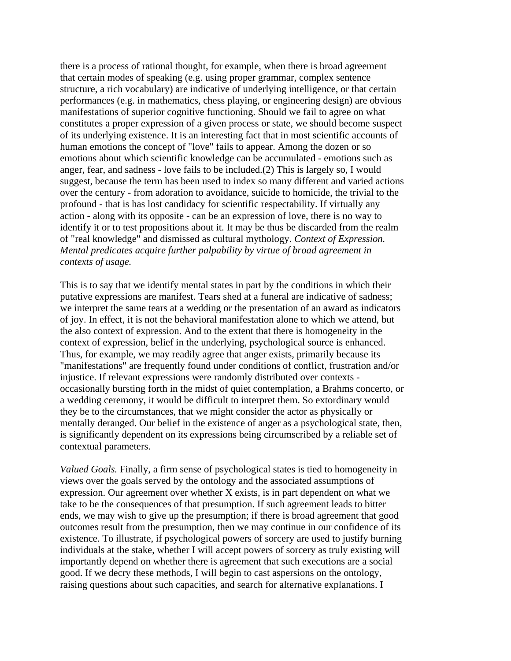there is a process of rational thought, for example, when there is broad agreement that certain modes of speaking (e.g. using proper grammar, complex sentence structure, a rich vocabulary) are indicative of underlying intelligence, or that certain performances (e.g. in mathematics, chess playing, or engineering design) are obvious manifestations of superior cognitive functioning. Should we fail to agree on what constitutes a proper expression of a given process or state, we should become suspect of its underlying existence. It is an interesting fact that in most scientific accounts of human emotions the concept of "love" fails to appear. Among the dozen or so emotions about which scientific knowledge can be accumulated - emotions such as anger, fear, and sadness - love fails to be included.(2) This is largely so, I would suggest, because the term has been used to index so many different and varied actions over the century - from adoration to avoidance, suicide to homicide, the trivial to the profound - that is has lost candidacy for scientific respectability. If virtually any action - along with its opposite - can be an expression of love, there is no way to identify it or to test propositions about it. It may be thus be discarded from the realm of "real knowledge" and dismissed as cultural mythology. *Context of Expression. Mental predicates acquire further palpability by virtue of broad agreement in contexts of usage.* 

This is to say that we identify mental states in part by the conditions in which their putative expressions are manifest. Tears shed at a funeral are indicative of sadness; we interpret the same tears at a wedding or the presentation of an award as indicators of joy. In effect, it is not the behavioral manifestation alone to which we attend, but the also context of expression. And to the extent that there is homogeneity in the context of expression, belief in the underlying, psychological source is enhanced. Thus, for example, we may readily agree that anger exists, primarily because its "manifestations" are frequently found under conditions of conflict, frustration and/or injustice. If relevant expressions were randomly distributed over contexts occasionally bursting forth in the midst of quiet contemplation, a Brahms concerto, or a wedding ceremony, it would be difficult to interpret them. So extordinary would they be to the circumstances, that we might consider the actor as physically or mentally deranged. Our belief in the existence of anger as a psychological state, then, is significantly dependent on its expressions being circumscribed by a reliable set of contextual parameters.

*Valued Goals.* Finally, a firm sense of psychological states is tied to homogeneity in views over the goals served by the ontology and the associated assumptions of expression. Our agreement over whether X exists, is in part dependent on what we take to be the consequences of that presumption. If such agreement leads to bitter ends, we may wish to give up the presumption; if there is broad agreement that good outcomes result from the presumption, then we may continue in our confidence of its existence. To illustrate, if psychological powers of sorcery are used to justify burning individuals at the stake, whether I will accept powers of sorcery as truly existing will importantly depend on whether there is agreement that such executions are a social good. If we decry these methods, I will begin to cast aspersions on the ontology, raising questions about such capacities, and search for alternative explanations. I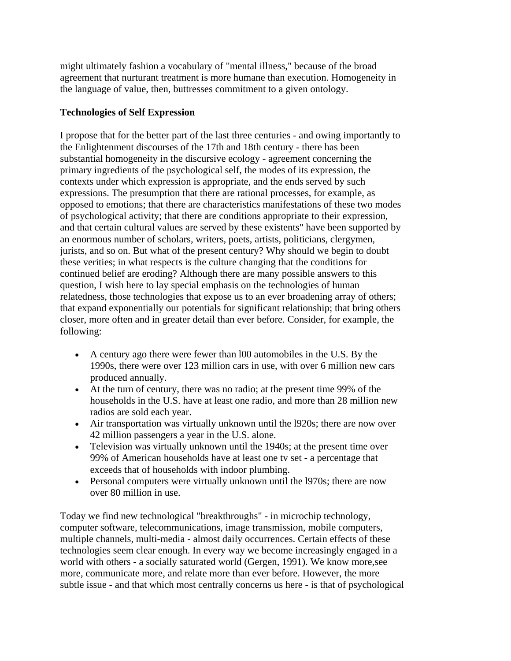might ultimately fashion a vocabulary of "mental illness," because of the broad agreement that nurturant treatment is more humane than execution. Homogeneity in the language of value, then, buttresses commitment to a given ontology.

### **Technologies of Self Expression**

I propose that for the better part of the last three centuries - and owing importantly to the Enlightenment discourses of the 17th and 18th century - there has been substantial homogeneity in the discursive ecology - agreement concerning the primary ingredients of the psychological self, the modes of its expression, the contexts under which expression is appropriate, and the ends served by such expressions. The presumption that there are rational processes, for example, as opposed to emotions; that there are characteristics manifestations of these two modes of psychological activity; that there are conditions appropriate to their expression, and that certain cultural values are served by these existents" have been supported by an enormous number of scholars, writers, poets, artists, politicians, clergymen, jurists, and so on. But what of the present century? Why should we begin to doubt these verities; in what respects is the culture changing that the conditions for continued belief are eroding? Although there are many possible answers to this question, I wish here to lay special emphasis on the technologies of human relatedness, those technologies that expose us to an ever broadening array of others; that expand exponentially our potentials for significant relationship; that bring others closer, more often and in greater detail than ever before. Consider, for example, the following:

- A century ago there were fewer than l00 automobiles in the U.S. By the 1990s, there were over 123 million cars in use, with over 6 million new cars produced annually.
- At the turn of century, there was no radio; at the present time 99% of the households in the U.S. have at least one radio, and more than 28 million new radios are sold each year.
- Air transportation was virtually unknown until the 1920s; there are now over 42 million passengers a year in the U.S. alone.
- Television was virtually unknown until the 1940s; at the present time over 99% of American households have at least one tv set - a percentage that exceeds that of households with indoor plumbing.
- Personal computers were virtually unknown until the l970s; there are now over 80 million in use.

Today we find new technological "breakthroughs" - in microchip technology, computer software, telecommunications, image transmission, mobile computers, multiple channels, multi-media - almost daily occurrences. Certain effects of these technologies seem clear enough. In every way we become increasingly engaged in a world with others - a socially saturated world (Gergen, 1991). We know more,see more, communicate more, and relate more than ever before. However, the more subtle issue - and that which most centrally concerns us here - is that of psychological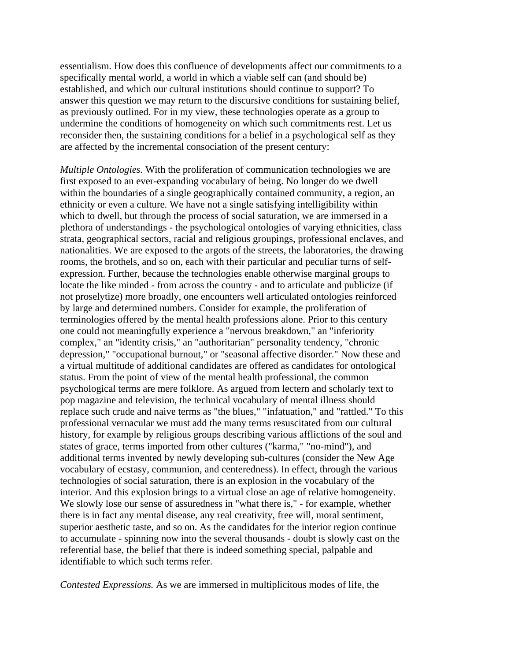essentialism. How does this confluence of developments affect our commitments to a specifically mental world, a world in which a viable self can (and should be) established, and which our cultural institutions should continue to support? To answer this question we may return to the discursive conditions for sustaining belief, as previously outlined. For in my view, these technologies operate as a group to undermine the conditions of homogeneity on which such commitments rest. Let us reconsider then, the sustaining conditions for a belief in a psychological self as they are affected by the incremental consociation of the present century:

*Multiple Ontologies.* With the proliferation of communication technologies we are first exposed to an ever-expanding vocabulary of being. No longer do we dwell within the boundaries of a single geographically contained community, a region, an ethnicity or even a culture. We have not a single satisfying intelligibility within which to dwell, but through the process of social saturation, we are immersed in a plethora of understandings - the psychological ontologies of varying ethnicities, class strata, geographical sectors, racial and religious groupings, professional enclaves, and nationalities. We are exposed to the argots of the streets, the laboratories, the drawing rooms, the brothels, and so on, each with their particular and peculiar turns of selfexpression. Further, because the technologies enable otherwise marginal groups to locate the like minded - from across the country - and to articulate and publicize (if not proselytize) more broadly, one encounters well articulated ontologies reinforced by large and determined numbers. Consider for example, the proliferation of terminologies offered by the mental health professions alone. Prior to this century one could not meaningfully experience a "nervous breakdown," an "inferiority complex," an "identity crisis," an "authoritarian" personality tendency, "chronic depression," "occupational burnout," or "seasonal affective disorder." Now these and a virtual multitude of additional candidates are offered as candidates for ontological status. From the point of view of the mental health professional, the common psychological terms are mere folklore. As argued from lectern and scholarly text to pop magazine and television, the technical vocabulary of mental illness should replace such crude and naive terms as "the blues," "infatuation," and "rattled." To this professional vernacular we must add the many terms resuscitated from our cultural history, for example by religious groups describing various afflictions of the soul and states of grace, terms imported from other cultures ("karma," "no-mind"), and additional terms invented by newly developing sub-cultures (consider the New Age vocabulary of ecstasy, communion, and centeredness). In effect, through the various technologies of social saturation, there is an explosion in the vocabulary of the interior. And this explosion brings to a virtual close an age of relative homogeneity. We slowly lose our sense of assuredness in "what there is," - for example, whether there is in fact any mental disease, any real creativity, free will, moral sentiment, superior aesthetic taste, and so on. As the candidates for the interior region continue to accumulate - spinning now into the several thousands - doubt is slowly cast on the referential base, the belief that there is indeed something special, palpable and identifiable to which such terms refer.

*Contested Expressions.* As we are immersed in multiplicitous modes of life, the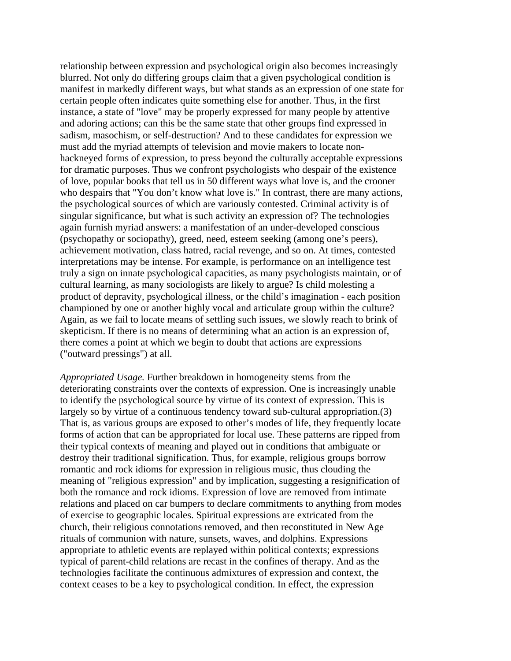relationship between expression and psychological origin also becomes increasingly blurred. Not only do differing groups claim that a given psychological condition is manifest in markedly different ways, but what stands as an expression of one state for certain people often indicates quite something else for another. Thus, in the first instance, a state of "love" may be properly expressed for many people by attentive and adoring actions; can this be the same state that other groups find expressed in sadism, masochism, or self-destruction? And to these candidates for expression we must add the myriad attempts of television and movie makers to locate nonhackneyed forms of expression, to press beyond the culturally acceptable expressions for dramatic purposes. Thus we confront psychologists who despair of the existence of love, popular books that tell us in 50 different ways what love is, and the crooner who despairs that "You don't know what love is." In contrast, there are many actions, the psychological sources of which are variously contested. Criminal activity is of singular significance, but what is such activity an expression of? The technologies again furnish myriad answers: a manifestation of an under-developed conscious (psychopathy or sociopathy), greed, need, esteem seeking (among one's peers), achievement motivation, class hatred, racial revenge, and so on. At times, contested interpretations may be intense. For example, is performance on an intelligence test truly a sign on innate psychological capacities, as many psychologists maintain, or of cultural learning, as many sociologists are likely to argue? Is child molesting a product of depravity, psychological illness, or the child's imagination - each position championed by one or another highly vocal and articulate group within the culture? Again, as we fail to locate means of settling such issues, we slowly reach to brink of skepticism. If there is no means of determining what an action is an expression of, there comes a point at which we begin to doubt that actions are expressions ("outward pressings") at all.

*Appropriated Usage.* Further breakdown in homogeneity stems from the deteriorating constraints over the contexts of expression. One is increasingly unable to identify the psychological source by virtue of its context of expression. This is largely so by virtue of a continuous tendency toward sub-cultural appropriation.(3) That is, as various groups are exposed to other's modes of life, they frequently locate forms of action that can be appropriated for local use. These patterns are ripped from their typical contexts of meaning and played out in conditions that ambiguate or destroy their traditional signification. Thus, for example, religious groups borrow romantic and rock idioms for expression in religious music, thus clouding the meaning of "religious expression" and by implication, suggesting a resignification of both the romance and rock idioms. Expression of love are removed from intimate relations and placed on car bumpers to declare commitments to anything from modes of exercise to geographic locales. Spiritual expressions are extricated from the church, their religious connotations removed, and then reconstituted in New Age rituals of communion with nature, sunsets, waves, and dolphins. Expressions appropriate to athletic events are replayed within political contexts; expressions typical of parent-child relations are recast in the confines of therapy. And as the technologies facilitate the continuous admixtures of expression and context, the context ceases to be a key to psychological condition. In effect, the expression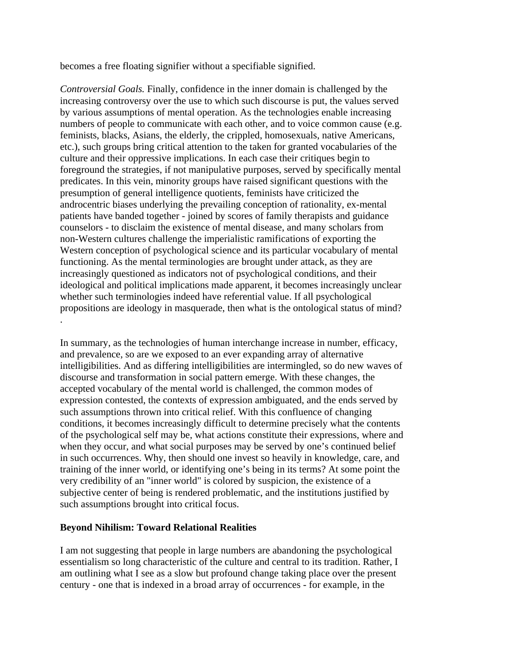becomes a free floating signifier without a specifiable signified.

*Controversial Goals.* Finally, confidence in the inner domain is challenged by the increasing controversy over the use to which such discourse is put, the values served by various assumptions of mental operation. As the technologies enable increasing numbers of people to communicate with each other, and to voice common cause (e.g. feminists, blacks, Asians, the elderly, the crippled, homosexuals, native Americans, etc.), such groups bring critical attention to the taken for granted vocabularies of the culture and their oppressive implications. In each case their critiques begin to foreground the strategies, if not manipulative purposes, served by specifically mental predicates. In this vein, minority groups have raised significant questions with the presumption of general intelligence quotients, feminists have criticized the androcentric biases underlying the prevailing conception of rationality, ex-mental patients have banded together - joined by scores of family therapists and guidance counselors - to disclaim the existence of mental disease, and many scholars from non-Western cultures challenge the imperialistic ramifications of exporting the Western conception of psychological science and its particular vocabulary of mental functioning. As the mental terminologies are brought under attack, as they are increasingly questioned as indicators not of psychological conditions, and their ideological and political implications made apparent, it becomes increasingly unclear whether such terminologies indeed have referential value. If all psychological propositions are ideology in masquerade, then what is the ontological status of mind? .

In summary, as the technologies of human interchange increase in number, efficacy, and prevalence, so are we exposed to an ever expanding array of alternative intelligibilities. And as differing intelligibilities are intermingled, so do new waves of discourse and transformation in social pattern emerge. With these changes, the accepted vocabulary of the mental world is challenged, the common modes of expression contested, the contexts of expression ambiguated, and the ends served by such assumptions thrown into critical relief. With this confluence of changing conditions, it becomes increasingly difficult to determine precisely what the contents of the psychological self may be, what actions constitute their expressions, where and when they occur, and what social purposes may be served by one's continued belief in such occurrences. Why, then should one invest so heavily in knowledge, care, and training of the inner world, or identifying one's being in its terms? At some point the very credibility of an "inner world" is colored by suspicion, the existence of a subjective center of being is rendered problematic, and the institutions justified by such assumptions brought into critical focus.

#### **Beyond Nihilism: Toward Relational Realities**

I am not suggesting that people in large numbers are abandoning the psychological essentialism so long characteristic of the culture and central to its tradition. Rather, I am outlining what I see as a slow but profound change taking place over the present century - one that is indexed in a broad array of occurrences - for example, in the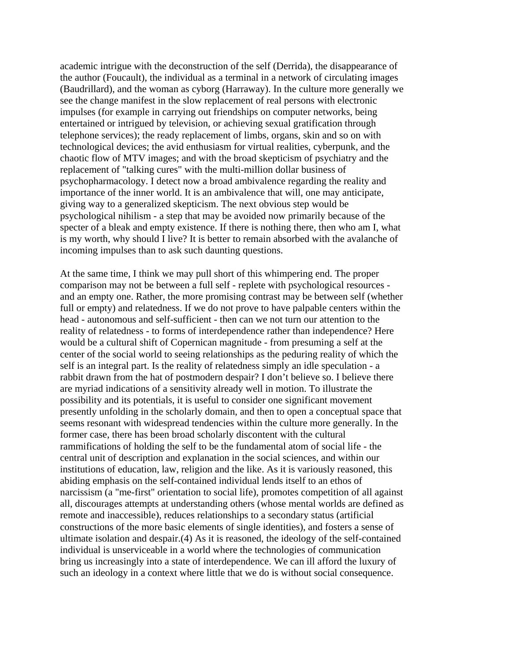academic intrigue with the deconstruction of the self (Derrida), the disappearance of the author (Foucault), the individual as a terminal in a network of circulating images (Baudrillard), and the woman as cyborg (Harraway). In the culture more generally we see the change manifest in the slow replacement of real persons with electronic impulses (for example in carrying out friendships on computer networks, being entertained or intrigued by television, or achieving sexual gratification through telephone services); the ready replacement of limbs, organs, skin and so on with technological devices; the avid enthusiasm for virtual realities, cyberpunk, and the chaotic flow of MTV images; and with the broad skepticism of psychiatry and the replacement of "talking cures" with the multi-million dollar business of psychopharmacology. I detect now a broad ambivalence regarding the reality and importance of the inner world. It is an ambivalence that will, one may anticipate, giving way to a generalized skepticism. The next obvious step would be psychological nihilism - a step that may be avoided now primarily because of the specter of a bleak and empty existence. If there is nothing there, then who am I, what is my worth, why should I live? It is better to remain absorbed with the avalanche of incoming impulses than to ask such daunting questions.

At the same time, I think we may pull short of this whimpering end. The proper comparison may not be between a full self - replete with psychological resources and an empty one. Rather, the more promising contrast may be between self (whether full or empty) and relatedness. If we do not prove to have palpable centers within the head - autonomous and self-sufficient - then can we not turn our attention to the reality of relatedness - to forms of interdependence rather than independence? Here would be a cultural shift of Copernican magnitude - from presuming a self at the center of the social world to seeing relationships as the peduring reality of which the self is an integral part. Is the reality of relatedness simply an idle speculation - a rabbit drawn from the hat of postmodern despair? I don't believe so. I believe there are myriad indications of a sensitivity already well in motion. To illustrate the possibility and its potentials, it is useful to consider one significant movement presently unfolding in the scholarly domain, and then to open a conceptual space that seems resonant with widespread tendencies within the culture more generally. In the former case, there has been broad scholarly discontent with the cultural rammifications of holding the self to be the fundamental atom of social life - the central unit of description and explanation in the social sciences, and within our institutions of education, law, religion and the like. As it is variously reasoned, this abiding emphasis on the self-contained individual lends itself to an ethos of narcissism (a "me-first" orientation to social life), promotes competition of all against all, discourages attempts at understanding others (whose mental worlds are defined as remote and inaccessible), reduces relationships to a secondary status (artificial constructions of the more basic elements of single identities), and fosters a sense of ultimate isolation and despair.(4) As it is reasoned, the ideology of the self-contained individual is unserviceable in a world where the technologies of communication bring us increasingly into a state of interdependence. We can ill afford the luxury of such an ideology in a context where little that we do is without social consequence.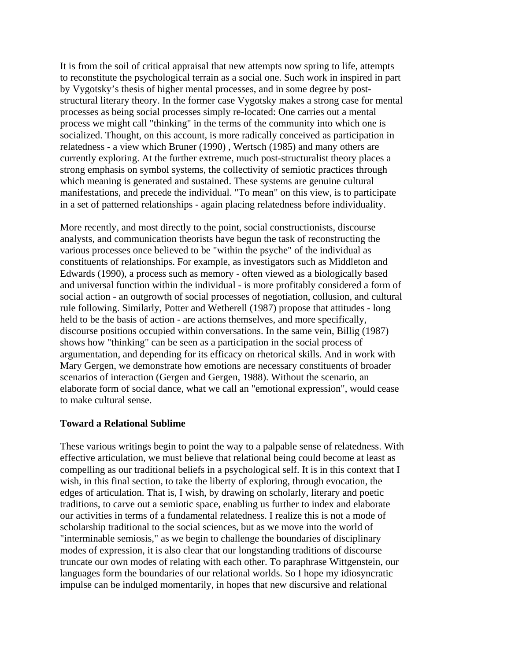It is from the soil of critical appraisal that new attempts now spring to life, attempts to reconstitute the psychological terrain as a social one. Such work in inspired in part by Vygotsky's thesis of higher mental processes, and in some degree by poststructural literary theory. In the former case Vygotsky makes a strong case for mental processes as being social processes simply re-located: One carries out a mental process we might call "thinking" in the terms of the community into which one is socialized. Thought, on this account, is more radically conceived as participation in relatedness - a view which Bruner (1990) , Wertsch (1985) and many others are currently exploring. At the further extreme, much post-structuralist theory places a strong emphasis on symbol systems, the collectivity of semiotic practices through which meaning is generated and sustained. These systems are genuine cultural manifestations, and precede the individual. "To mean" on this view, is to participate in a set of patterned relationships - again placing relatedness before individuality.

More recently, and most directly to the point, social constructionists, discourse analysts, and communication theorists have begun the task of reconstructing the various processes once believed to be "within the psyche" of the individual as constituents of relationships. For example, as investigators such as Middleton and Edwards (1990), a process such as memory - often viewed as a biologically based and universal function within the individual - is more profitably considered a form of social action - an outgrowth of social processes of negotiation, collusion, and cultural rule following. Similarly, Potter and Wetherell (1987) propose that attitudes - long held to be the basis of action - are actions themselves, and more specifically, discourse positions occupied within conversations. In the same vein, Billig (1987) shows how "thinking" can be seen as a participation in the social process of argumentation, and depending for its efficacy on rhetorical skills. And in work with Mary Gergen, we demonstrate how emotions are necessary constituents of broader scenarios of interaction (Gergen and Gergen, 1988). Without the scenario, an elaborate form of social dance, what we call an "emotional expression", would cease to make cultural sense.

#### **Toward a Relational Sublime**

These various writings begin to point the way to a palpable sense of relatedness. With effective articulation, we must believe that relational being could become at least as compelling as our traditional beliefs in a psychological self. It is in this context that I wish, in this final section, to take the liberty of exploring, through evocation, the edges of articulation. That is, I wish, by drawing on scholarly, literary and poetic traditions, to carve out a semiotic space, enabling us further to index and elaborate our activities in terms of a fundamental relatedness. I realize this is not a mode of scholarship traditional to the social sciences, but as we move into the world of "interminable semiosis," as we begin to challenge the boundaries of disciplinary modes of expression, it is also clear that our longstanding traditions of discourse truncate our own modes of relating with each other. To paraphrase Wittgenstein, our languages form the boundaries of our relational worlds. So I hope my idiosyncratic impulse can be indulged momentarily, in hopes that new discursive and relational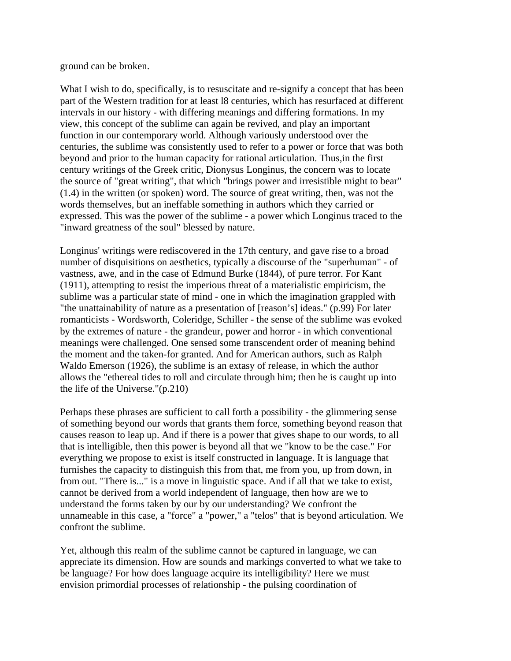ground can be broken.

What I wish to do, specifically, is to resuscitate and re-signify a concept that has been part of the Western tradition for at least l8 centuries, which has resurfaced at different intervals in our history - with differing meanings and differing formations. In my view, this concept of the sublime can again be revived, and play an important function in our contemporary world. Although variously understood over the centuries, the sublime was consistently used to refer to a power or force that was both beyond and prior to the human capacity for rational articulation. Thus,in the first century writings of the Greek critic, Dionysus Longinus, the concern was to locate the source of "great writing", that which "brings power and irresistible might to bear" (1.4) in the written (or spoken) word. The source of great writing, then, was not the words themselves, but an ineffable something in authors which they carried or expressed. This was the power of the sublime - a power which Longinus traced to the "inward greatness of the soul" blessed by nature.

Longinus' writings were rediscovered in the 17th century, and gave rise to a broad number of disquisitions on aesthetics, typically a discourse of the "superhuman" - of vastness, awe, and in the case of Edmund Burke (1844), of pure terror. For Kant (1911), attempting to resist the imperious threat of a materialistic empiricism, the sublime was a particular state of mind - one in which the imagination grappled with "the unattainability of nature as a presentation of [reason's] ideas." (p.99) For later romanticists - Wordsworth, Coleridge, Schiller - the sense of the sublime was evoked by the extremes of nature - the grandeur, power and horror - in which conventional meanings were challenged. One sensed some transcendent order of meaning behind the moment and the taken-for granted. And for American authors, such as Ralph Waldo Emerson (1926), the sublime is an extasy of release, in which the author allows the "ethereal tides to roll and circulate through him; then he is caught up into the life of the Universe."(p.210)

Perhaps these phrases are sufficient to call forth a possibility - the glimmering sense of something beyond our words that grants them force, something beyond reason that causes reason to leap up. And if there is a power that gives shape to our words, to all that is intelligible, then this power is beyond all that we "know to be the case." For everything we propose to exist is itself constructed in language. It is language that furnishes the capacity to distinguish this from that, me from you, up from down, in from out. "There is..." is a move in linguistic space. And if all that we take to exist, cannot be derived from a world independent of language, then how are we to understand the forms taken by our by our understanding? We confront the unnameable in this case, a "force" a "power," a "telos" that is beyond articulation. We confront the sublime.

Yet, although this realm of the sublime cannot be captured in language, we can appreciate its dimension. How are sounds and markings converted to what we take to be language? For how does language acquire its intelligibility? Here we must envision primordial processes of relationship - the pulsing coordination of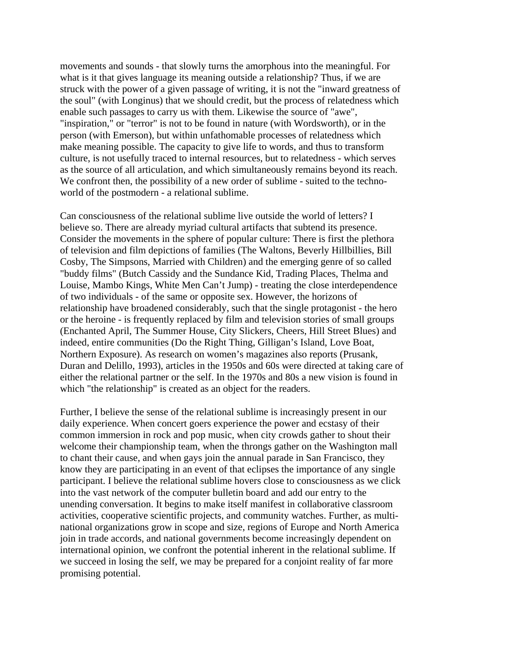movements and sounds - that slowly turns the amorphous into the meaningful. For what is it that gives language its meaning outside a relationship? Thus, if we are struck with the power of a given passage of writing, it is not the "inward greatness of the soul" (with Longinus) that we should credit, but the process of relatedness which enable such passages to carry us with them. Likewise the source of "awe", "inspiration," or "terror" is not to be found in nature (with Wordsworth), or in the person (with Emerson), but within unfathomable processes of relatedness which make meaning possible. The capacity to give life to words, and thus to transform culture, is not usefully traced to internal resources, but to relatedness - which serves as the source of all articulation, and which simultaneously remains beyond its reach. We confront then, the possibility of a new order of sublime - suited to the technoworld of the postmodern - a relational sublime.

Can consciousness of the relational sublime live outside the world of letters? I believe so. There are already myriad cultural artifacts that subtend its presence. Consider the movements in the sphere of popular culture: There is first the plethora of television and film depictions of families (The Waltons, Beverly Hillbillies, Bill Cosby, The Simpsons, Married with Children) and the emerging genre of so called "buddy films" (Butch Cassidy and the Sundance Kid, Trading Places, Thelma and Louise, Mambo Kings, White Men Can't Jump) - treating the close interdependence of two individuals - of the same or opposite sex. However, the horizons of relationship have broadened considerably, such that the single protagonist - the hero or the heroine - is frequently replaced by film and television stories of small groups (Enchanted April, The Summer House, City Slickers, Cheers, Hill Street Blues) and indeed, entire communities (Do the Right Thing, Gilligan's Island, Love Boat, Northern Exposure). As research on women's magazines also reports (Prusank, Duran and Delillo, 1993), articles in the 1950s and 60s were directed at taking care of either the relational partner or the self. In the 1970s and 80s a new vision is found in which "the relationship" is created as an object for the readers.

Further, I believe the sense of the relational sublime is increasingly present in our daily experience. When concert goers experience the power and ecstasy of their common immersion in rock and pop music, when city crowds gather to shout their welcome their championship team, when the throngs gather on the Washington mall to chant their cause, and when gays join the annual parade in San Francisco, they know they are participating in an event of that eclipses the importance of any single participant. I believe the relational sublime hovers close to consciousness as we click into the vast network of the computer bulletin board and add our entry to the unending conversation. It begins to make itself manifest in collaborative classroom activities, cooperative scientific projects, and community watches. Further, as multinational organizations grow in scope and size, regions of Europe and North America join in trade accords, and national governments become increasingly dependent on international opinion, we confront the potential inherent in the relational sublime. If we succeed in losing the self, we may be prepared for a conjoint reality of far more promising potential.